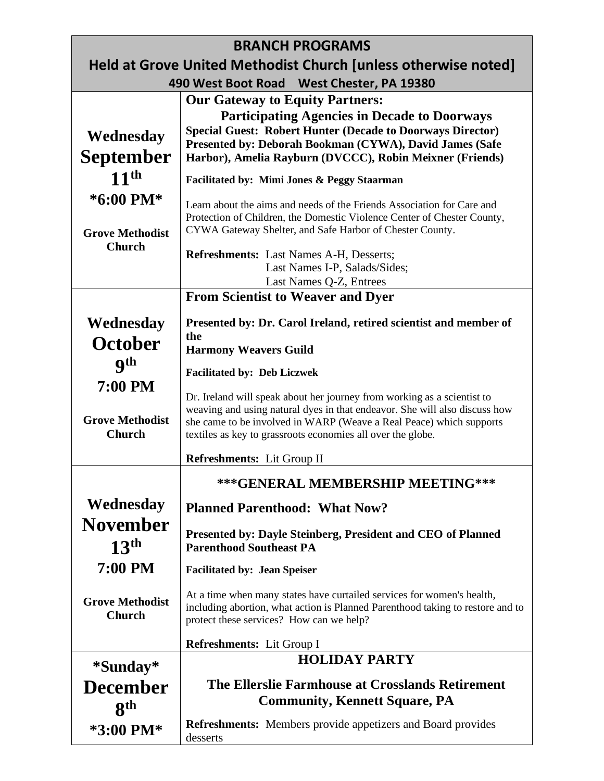| <b>BRANCH PROGRAMS</b>                                         |                                                                                                                                                                                                                                                                                             |  |
|----------------------------------------------------------------|---------------------------------------------------------------------------------------------------------------------------------------------------------------------------------------------------------------------------------------------------------------------------------------------|--|
| Held at Grove United Methodist Church [unless otherwise noted] |                                                                                                                                                                                                                                                                                             |  |
| 490 West Boot Road West Chester, PA 19380                      |                                                                                                                                                                                                                                                                                             |  |
|                                                                | <b>Our Gateway to Equity Partners:</b>                                                                                                                                                                                                                                                      |  |
| Wednesday                                                      | <b>Participating Agencies in Decade to Doorways</b><br><b>Special Guest: Robert Hunter (Decade to Doorways Director)</b>                                                                                                                                                                    |  |
| <b>September</b>                                               | Presented by: Deborah Bookman (CYWA), David James (Safe<br>Harbor), Amelia Rayburn (DVCCC), Robin Meixner (Friends)                                                                                                                                                                         |  |
| 11 <sup>th</sup>                                               |                                                                                                                                                                                                                                                                                             |  |
|                                                                | <b>Facilitated by: Mimi Jones &amp; Peggy Staarman</b>                                                                                                                                                                                                                                      |  |
| *6:00 PM*<br><b>Grove Methodist</b>                            | Learn about the aims and needs of the Friends Association for Care and<br>Protection of Children, the Domestic Violence Center of Chester County,<br>CYWA Gateway Shelter, and Safe Harbor of Chester County.                                                                               |  |
| <b>Church</b>                                                  | <b>Refreshments:</b> Last Names A-H, Desserts;<br>Last Names I-P, Salads/Sides;                                                                                                                                                                                                             |  |
|                                                                | Last Names Q-Z, Entrees                                                                                                                                                                                                                                                                     |  |
|                                                                | <b>From Scientist to Weaver and Dyer</b>                                                                                                                                                                                                                                                    |  |
| Wednesday                                                      | Presented by: Dr. Carol Ireland, retired scientist and member of                                                                                                                                                                                                                            |  |
| October                                                        | the<br><b>Harmony Weavers Guild</b>                                                                                                                                                                                                                                                         |  |
| <b>9th</b>                                                     |                                                                                                                                                                                                                                                                                             |  |
| 7:00 PM                                                        | <b>Facilitated by: Deb Liczwek</b>                                                                                                                                                                                                                                                          |  |
| <b>Grove Methodist</b><br><b>Church</b>                        | Dr. Ireland will speak about her journey from working as a scientist to<br>weaving and using natural dyes in that endeavor. She will also discuss how<br>she came to be involved in WARP (Weave a Real Peace) which supports<br>textiles as key to grassroots economies all over the globe. |  |
|                                                                | Refreshments: Lit Group II                                                                                                                                                                                                                                                                  |  |
|                                                                | ***GENERAL MEMBERSHIP MEETING***                                                                                                                                                                                                                                                            |  |
| Wednesday                                                      | <b>Planned Parenthood: What Now?</b>                                                                                                                                                                                                                                                        |  |
| <b>November</b><br>13 <sup>th</sup>                            | <b>Presented by: Dayle Steinberg, President and CEO of Planned</b><br><b>Parenthood Southeast PA</b>                                                                                                                                                                                        |  |
| 7:00 PM                                                        | <b>Facilitated by: Jean Speiser</b>                                                                                                                                                                                                                                                         |  |
| <b>Grove Methodist</b><br><b>Church</b>                        | At a time when many states have curtailed services for women's health,<br>including abortion, what action is Planned Parenthood taking to restore and to<br>protect these services? How can we help?                                                                                        |  |
|                                                                | Refreshments: Lit Group I                                                                                                                                                                                                                                                                   |  |
| *Sunday*                                                       | <b>HOLIDAY PARTY</b>                                                                                                                                                                                                                                                                        |  |
| <b>December</b>                                                | The Ellerslie Farmhouse at Crosslands Retirement                                                                                                                                                                                                                                            |  |
| 8 <sup>th</sup>                                                | <b>Community, Kennett Square, PA</b>                                                                                                                                                                                                                                                        |  |
| *3:00 PM*                                                      | <b>Refreshments:</b> Members provide appetizers and Board provides<br>desserts                                                                                                                                                                                                              |  |